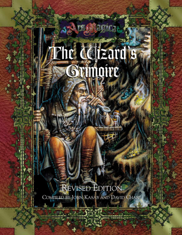## Ehr Cestzard's Grimqire

**Arsellegicat** 

#### **REVISED EDITION**

COMPILED BY JOHN KASAB AND DAVID CHART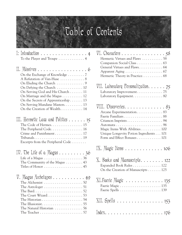### Table of Contents

| $\Gamma$ : Introduction<br>To the Player and Troupe 4                                                                                                                                                                                                                                     | $\overline{4}$ |
|-------------------------------------------------------------------------------------------------------------------------------------------------------------------------------------------------------------------------------------------------------------------------------------------|----------------|
| II. Missives 6<br>On the Exchange of Knowledge  7<br>A Refutation of Van-Huse  8<br>On Defying the Church  10<br>On Serving God and His Church 11<br>On Marriage and the Magus 12<br>On the Secrets of Apprenticeship 13<br>On Serving Mundane Masters 13<br>On the Creation of Wealth 14 |                |
| III. Hermetic Law and Politics $\ldots \ldots$ 15<br>The Code of Hermes 15<br>Crime and Punishment 17<br>$Tribunals. \ldots \ldots \ldots \ldots \ldots \ldots \ldots \ldots 19$<br>Excerpts from the Peripheral Code                                                                     |                |
| IV. The Life of a Magus $\dots \dots \dots 36$<br>Life of a Magus $\dots \dots \dots \dots \dots \dots \dots 36$<br>The Community of the Magus  43                                                                                                                                        |                |
| $\nabla$ . Magus Archetypes 49<br>The Astrologer $\dots\dots\dots\dots\dots\dots\dots$<br>The Court Wizard53<br>The Historian $\ldots \ldots \ldots \ldots \ldots \ldots 54$<br>The Natural Historian 56                                                                                  |                |

| VI. Characters $\dots \dots \dots \dots \dots \dots$ 58<br>Hermetic Virtues and Flaws 58<br>Companion Social Class 63<br>General Virtues and Flaws. 64<br>Hermetic Theory in Practice 68 |
|------------------------------------------------------------------------------------------------------------------------------------------------------------------------------------------|
| VII. Laboratory Personalization. $\ldots$ . $75$<br>Laboratory Improvement. 75<br>Laboratory Equipment. 80                                                                               |
| VIII. Discoveries 83<br>Arcane Experimentation. 83<br>Faerie Familiars88<br>Magic Items With Abilities 100<br>Unique Longevity Potion Ingredients 101<br>Form and Effect Bonuses 101     |
| IX. Magic Items $\dots\dots\dots\dots\dots\dots$                                                                                                                                         |
| $X.$ Books and Manuscripts $122$<br>Expanded Book Rules  122<br>On the Creation of Manuscripts 125                                                                                       |
| XI. Faerie Magic<br>$\cdots \cdots \cdots \cdots \cdots 135$                                                                                                                             |
| $XII.$ Spells $\ldots \ldots \ldots \ldots \ldots \ldots 153$                                                                                                                            |
| Index. $\dots \dots \dots \dots \dots \dots \dots \dots \dots 176$                                                                                                                       |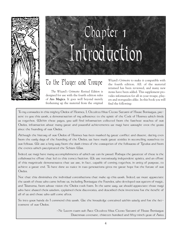

# Chapter 1 Chapter 1 Introduction Introduction

#### To the Player and Troupe

*The Wizard's Grimoire Revised Edition* is designed for use with the fourth edition rules of **Ars Magica**. It goes well beyond merely freshening up the material from the original

*Wizard's Grimoire* to make it compatible with the fourth edition. All. of the material retained has been reviewed, and many new items have been added. This supplement provides information for all in your troupe, players and storyguides alike. In this book you will find the following:

To my comrades in this mighty Order of Hermes, I, Occultes filius Cicero Saturni of House Bonisagus, present to you this work, a demonstration of my adherence to the spirit of the Code of Hermes which binds us together. Within these pages, you will find information collected from the farthest reaches of our Order, information about many great and powerful achievements we magi have wrought over the years since the founding of our Order.

Although the history of our Order of Hermes has been marked by great conflict and dissent, dating even from the early days of the founding of the Order, we have made great strides in reconciling ourselves to our fellows. We are a long way from the dark times of the corruption of the followers of Tytalus and from the events which precipitated the Schism War.

Indeed, we magi have many accomplishments of which we can be proud. Perhaps the greatest of these is the collaborative effort that led to this tome's fruition. We are notoriously independent spirits, and an effort of this magnitude demonstrates that we are, in fact, capable of coming together, in unity of purpose, to achieve a great end. To have done so twice in two generations gives me great hope for the future of our Order.

Not that this diminishes the individual contributions that make up this work. Indeed, we must appreciate the work of those who came before us, including Bonisagus the Founder, who developed our system of magic, and Trianoma, from whose vision the Order took form. In the same way, we should appreciate those magi who have shared their wisdom, explained their discoveries, and described their inventions for the benefit of all of us and chose who will come after.

So inco your hands do I commend this work. Use the knowledge contained within wisely and for the betterment of our Order.

> —Ne Lucem tuam sub Arce Occultes filius Cicero Saturni of House Bonisagus Durenmar covenant, thirteen hundred and fifty-ninth year of  $A$ ries